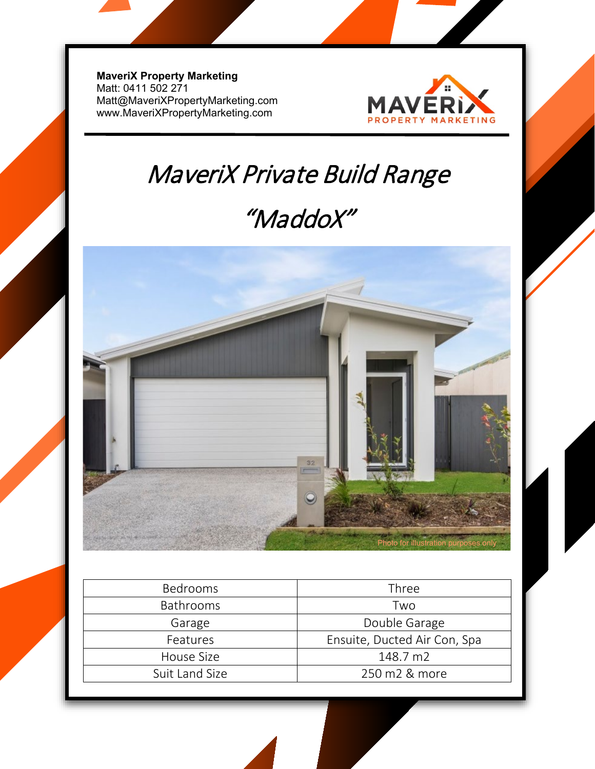**MaveriX Property Marketing** Matt: 0411 502 271 [Matt@MaveriXPropertyMarketing.com](mailto:Matt@MaveriXPropertyMarketing.com) www.MaveriXPropertyMarketing.com



## MaveriX Private Build Range

### "MaddoX"



| <b>Bedrooms</b>  | Three                        |
|------------------|------------------------------|
| <b>Bathrooms</b> | Two                          |
| Garage           | Double Garage                |
| Features         | Ensuite, Ducted Air Con, Spa |
| House Size       | 148.7 m2                     |
| Suit Land Size   | 250 m2 & more                |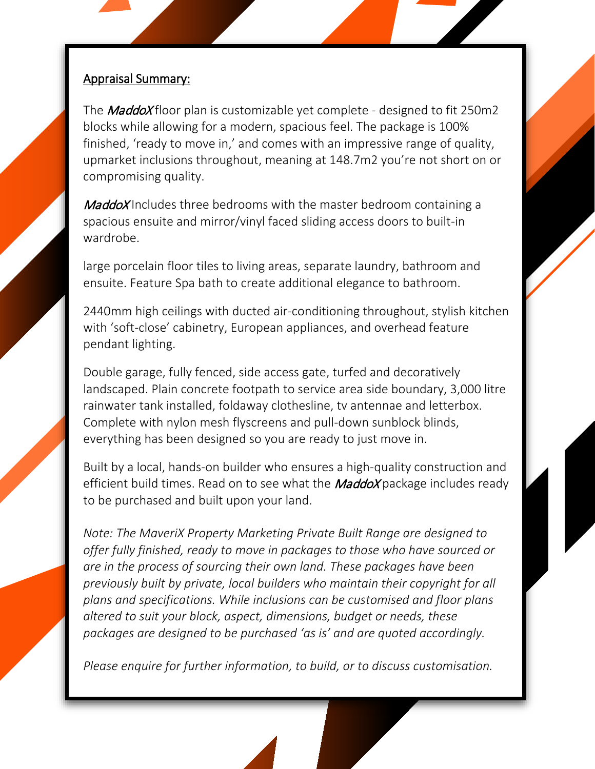#### Appraisal Summary:

The *MaddoX* floor plan is customizable yet complete - designed to fit 250m2 blocks while allowing for a modern, spacious feel. The package is 100% finished, 'ready to move in,' and comes with an impressive range of quality, upmarket inclusions throughout, meaning at 148.7m2 you're not short on or compromising quality.

MaddoX Includes three bedrooms with the master bedroom containing a spacious ensuite and mirror/vinyl faced sliding access doors to built-in wardrobe.

large porcelain floor tiles to living areas, separate laundry, bathroom and ensuite. Feature Spa bath to create additional elegance to bathroom.

2440mm high ceilings with ducted air-conditioning throughout, stylish kitchen with 'soft-close' cabinetry, European appliances, and overhead feature pendant lighting.

Double garage, fully fenced, side access gate, turfed and decoratively landscaped. Plain concrete footpath to service area side boundary, 3,000 litre rainwater tank installed, foldaway clothesline, tv antennae and letterbox. Complete with nylon mesh flyscreens and pull-down sunblock blinds, everything has been designed so you are ready to just move in.

Built by a local, hands-on builder who ensures a high-quality construction and efficient build times. Read on to see what the **MaddoX** package includes ready to be purchased and built upon your land.

*Note: The MaveriX Property Marketing Private Built Range are designed to offer fully finished, ready to move in packages to those who have sourced or are in the process of sourcing their own land. These packages have been previously built by private, local builders who maintain their copyright for all plans and specifications. While inclusions can be customised and floor plans altered to suit your block, aspect, dimensions, budget or needs, these packages are designed to be purchased 'as is' and are quoted accordingly.* 

*Please enquire for further information, to build, or to discuss customisation.*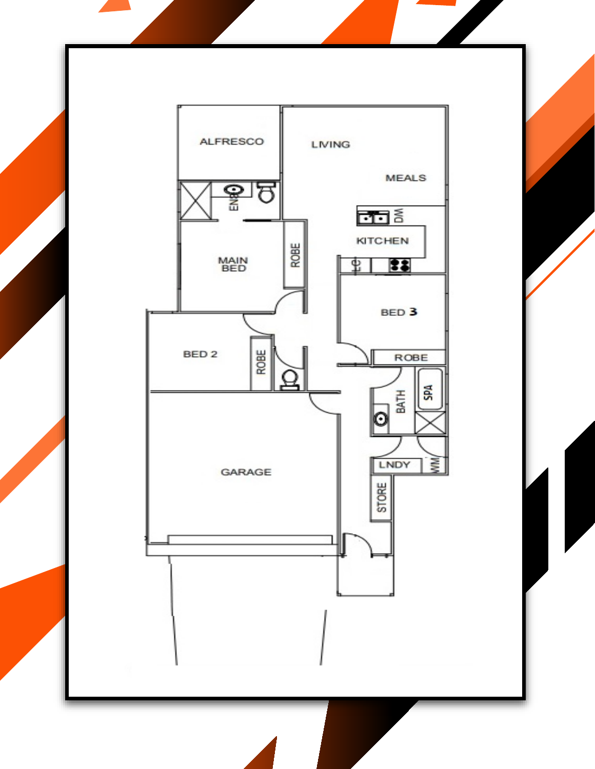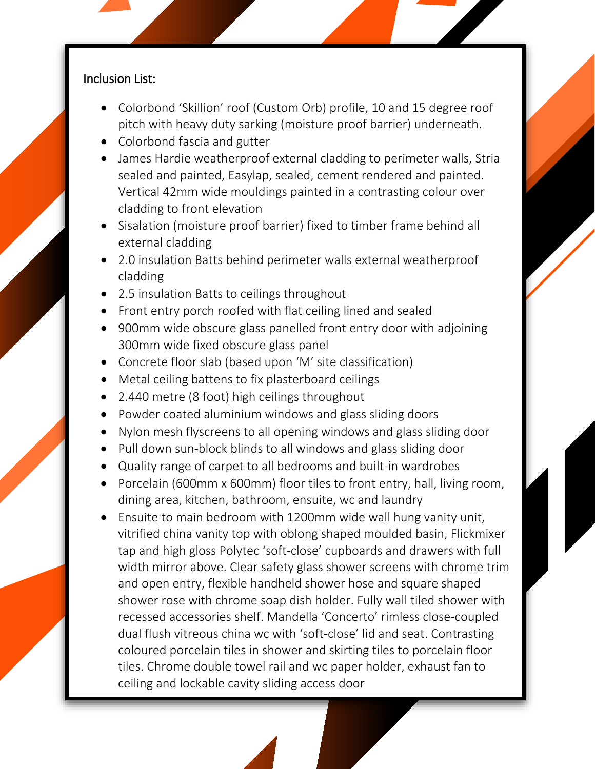#### Inclusion List:

- Colorbond 'Skillion' roof (Custom Orb) profile, 10 and 15 degree roof pitch with heavy duty sarking (moisture proof barrier) underneath.
- Colorbond fascia and gutter
- James Hardie weatherproof external cladding to perimeter walls, Stria sealed and painted, Easylap, sealed, cement rendered and painted. Vertical 42mm wide mouldings painted in a contrasting colour over cladding to front elevation
- Sisalation (moisture proof barrier) fixed to timber frame behind all external cladding
- 2.0 insulation Batts behind perimeter walls external weatherproof cladding
- 2.5 insulation Batts to ceilings throughout
- Front entry porch roofed with flat ceiling lined and sealed
- 900mm wide obscure glass panelled front entry door with adjoining 300mm wide fixed obscure glass panel
- Concrete floor slab (based upon 'M' site classification)
- Metal ceiling battens to fix plasterboard ceilings
- 2.440 metre (8 foot) high ceilings throughout
- Powder coated aluminium windows and glass sliding doors
- Nylon mesh flyscreens to all opening windows and glass sliding door
- Pull down sun-block blinds to all windows and glass sliding door
- Quality range of carpet to all bedrooms and built-in wardrobes
- Porcelain (600mm x 600mm) floor tiles to front entry, hall, living room, dining area, kitchen, bathroom, ensuite, wc and laundry
- Ensuite to main bedroom with 1200mm wide wall hung vanity unit, vitrified china vanity top with oblong shaped moulded basin, Flickmixer tap and high gloss Polytec 'soft-close' cupboards and drawers with full width mirror above. Clear safety glass shower screens with chrome trim and open entry, flexible handheld shower hose and square shaped shower rose with chrome soap dish holder. Fully wall tiled shower with recessed accessories shelf. Mandella 'Concerto' rimless close-coupled dual flush vitreous china wc with 'soft-close' lid and seat. Contrasting coloured porcelain tiles in shower and skirting tiles to porcelain floor tiles. Chrome double towel rail and wc paper holder, exhaust fan to ceiling and lockable cavity sliding access door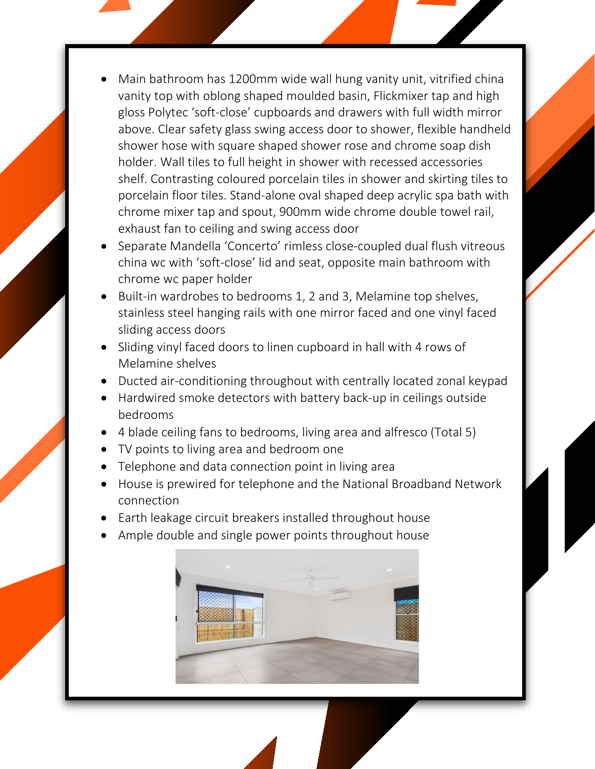- Main bathroom has 1200mm wide wall hung vanity unit, vitrified china vanity top with oblong shaped moulded basin, Flickmixer tap and high gloss Polytec 'soft-close' cupboards and drawers with full width mirror above. Clear safety glass swing access door to shower, flexible handheld shower hose with square shaped shower rose and chrome soap dish holder. Wall tiles to full height in shower with recessed accessories shelf. Contrasting coloured porcelain tiles in shower and skirting tiles to porcelain floor tiles. Stand-alone oval shaped deep acrylic spa bath with chrome mixer tap and spout, 900mm wide chrome double towel rail, exhaust fan to ceiling and swing access door
- Separate Mandella 'Concerto' rimless close-coupled dual flush vitreous china wc with 'soft-close' lid and seat, opposite main bathroom with chrome wc paper holder
- Built-in wardrobes to bedrooms 1, 2 and 3, Melamine top shelves, stainless steel hanging rails with one mirror faced and one vinyl faced sliding access doors
- Sliding vinyl faced doors to linen cupboard in hall with 4 rows of Melamine shelves
- Ducted air-conditioning throughout with centrally located zonal keypad
- Hardwired smoke detectors with battery back-up in ceilings outside bedrooms
- 4 blade ceiling fans to bedrooms, living area and alfresco (Total 5)
- TV points to living area and bedroom one
- Telephone and data connection point in living area
- House is prewired for telephone and the National Broadband Network connection
- Earth leakage circuit breakers installed throughout house
- Ample double and single power points throughout house

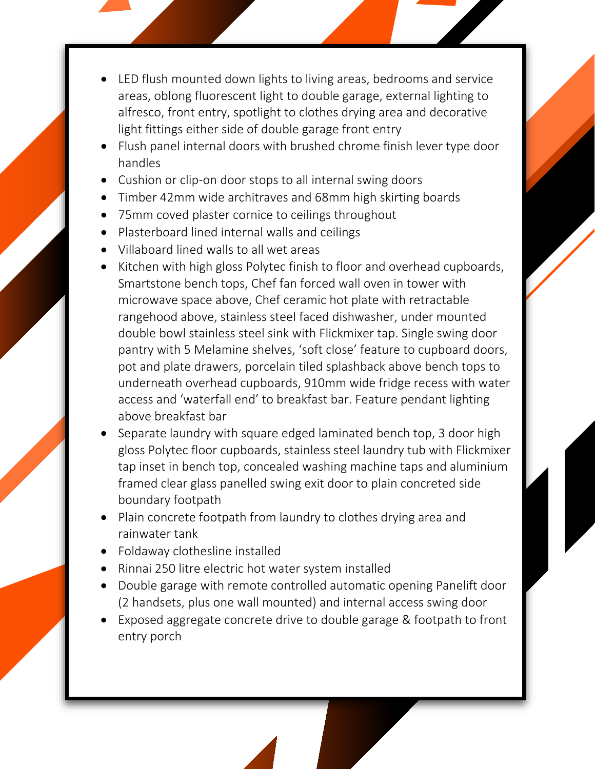- LED flush mounted down lights to living areas, bedrooms and service areas, oblong fluorescent light to double garage, external lighting to alfresco, front entry, spotlight to clothes drying area and decorative light fittings either side of double garage front entry
- Flush panel internal doors with brushed chrome finish lever type door handles
- Cushion or clip-on door stops to all internal swing doors
- Timber 42mm wide architraves and 68mm high skirting boards
- 75mm coved plaster cornice to ceilings throughout
- Plasterboard lined internal walls and ceilings
- Villaboard lined walls to all wet areas
- Kitchen with high gloss Polytec finish to floor and overhead cupboards, Smartstone bench tops, Chef fan forced wall oven in tower with microwave space above, Chef ceramic hot plate with retractable rangehood above, stainless steel faced dishwasher, under mounted double bowl stainless steel sink with Flickmixer tap. Single swing door pantry with 5 Melamine shelves, 'soft close' feature to cupboard doors, pot and plate drawers, porcelain tiled splashback above bench tops to underneath overhead cupboards, 910mm wide fridge recess with water access and 'waterfall end' to breakfast bar. Feature pendant lighting above breakfast bar
- Separate laundry with square edged laminated bench top, 3 door high gloss Polytec floor cupboards, stainless steel laundry tub with Flickmixer tap inset in bench top, concealed washing machine taps and aluminium framed clear glass panelled swing exit door to plain concreted side boundary footpath
- Plain concrete footpath from laundry to clothes drying area and rainwater tank
- Foldaway clothesline installed
- Rinnai 250 litre electric hot water system installed
- Double garage with remote controlled automatic opening Panelift door (2 handsets, plus one wall mounted) and internal access swing door
- Exposed aggregate concrete drive to double garage & footpath to front entry porch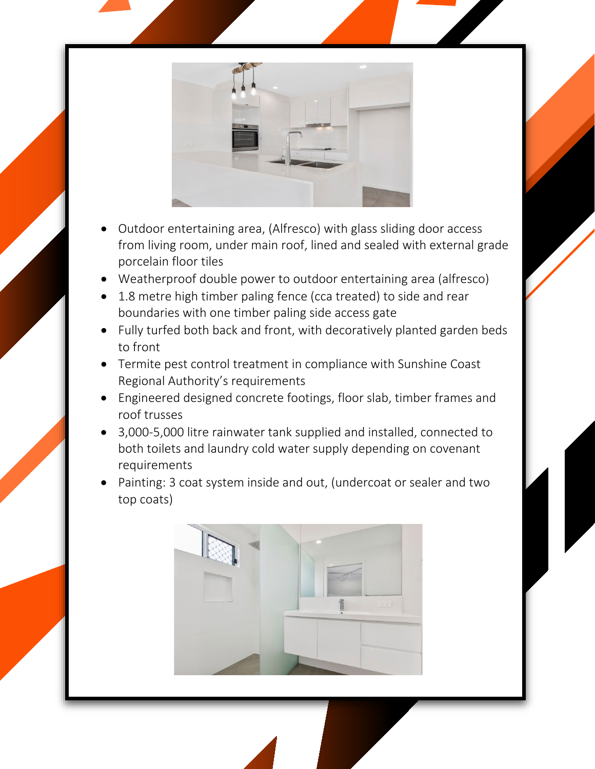

- Outdoor entertaining area, (Alfresco) with glass sliding door access from living room, under main roof, lined and sealed with external grade porcelain floor tiles
- Weatherproof double power to outdoor entertaining area (alfresco)
- 1.8 metre high timber paling fence (cca treated) to side and rear boundaries with one timber paling side access gate
- Fully turfed both back and front, with decoratively planted garden beds to front
- Termite pest control treatment in compliance with Sunshine Coast Regional Authority's requirements
- Engineered designed concrete footings, floor slab, timber frames and roof trusses
- 3,000-5,000 litre rainwater tank supplied and installed, connected to both toilets and laundry cold water supply depending on covenant requirements
- Painting: 3 coat system inside and out, (undercoat or sealer and two top coats)